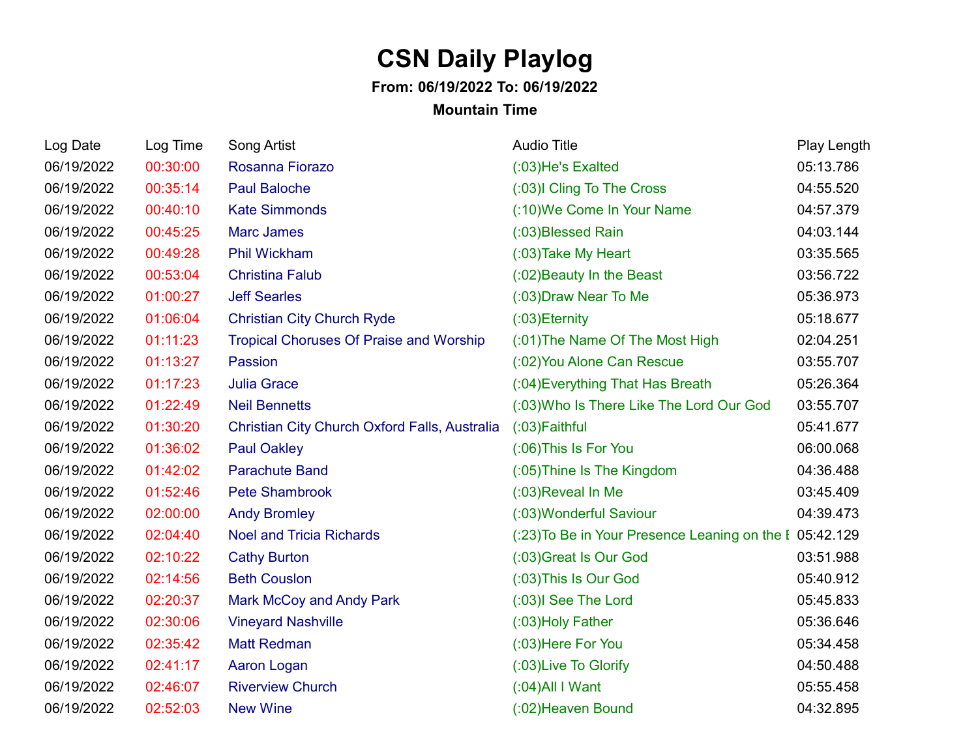## **CSN Daily Playlog**

## **From: 06/19/2022 To: 06/19/2022**

## **Mountain Time**

| Log Date   | Log Time | Song Artist                                    | <b>Audio Title</b>                                      | Play Length |
|------------|----------|------------------------------------------------|---------------------------------------------------------|-------------|
| 06/19/2022 | 00:30:00 | Rosanna Fiorazo                                | (:03)He's Exalted                                       | 05:13.786   |
| 06/19/2022 | 00:35:14 | <b>Paul Baloche</b>                            | (:03) Cling To The Cross                                | 04:55.520   |
| 06/19/2022 | 00:40:10 | <b>Kate Simmonds</b>                           | (:10) We Come In Your Name                              | 04:57.379   |
| 06/19/2022 | 00:45:25 | <b>Marc James</b>                              | (:03)Blessed Rain                                       | 04:03.144   |
| 06/19/2022 | 00:49:28 | Phil Wickham                                   | (:03) Take My Heart                                     | 03:35.565   |
| 06/19/2022 | 00:53:04 | <b>Christina Falub</b>                         | (:02) Beauty In the Beast                               | 03:56.722   |
| 06/19/2022 | 01:00:27 | <b>Jeff Searles</b>                            | (:03) Draw Near To Me                                   | 05:36.973   |
| 06/19/2022 | 01:06:04 | <b>Christian City Church Ryde</b>              | $(03)$ Eternity                                         | 05:18.677   |
| 06/19/2022 | 01:11:23 | <b>Tropical Choruses Of Praise and Worship</b> | (:01) The Name Of The Most High                         | 02:04.251   |
| 06/19/2022 | 01:13:27 | Passion                                        | (:02) You Alone Can Rescue                              | 03:55.707   |
| 06/19/2022 | 01:17:23 | <b>Julia Grace</b>                             | (:04) Everything That Has Breath                        | 05:26.364   |
| 06/19/2022 | 01:22:49 | <b>Neil Bennetts</b>                           | (:03) Who Is There Like The Lord Our God                | 03:55.707   |
| 06/19/2022 | 01:30:20 | Christian City Church Oxford Falls, Australia  | (:03) Faithful                                          | 05:41.677   |
| 06/19/2022 | 01:36:02 | <b>Paul Oakley</b>                             | (:06) This Is For You                                   | 06:00.068   |
| 06/19/2022 | 01:42:02 | <b>Parachute Band</b>                          | (:05) Thine Is The Kingdom                              | 04:36.488   |
| 06/19/2022 | 01:52:46 | <b>Pete Shambrook</b>                          | (:03) Reveal In Me                                      | 03:45.409   |
| 06/19/2022 | 02:00:00 | <b>Andy Bromley</b>                            | (:03) Wonderful Saviour                                 | 04:39.473   |
| 06/19/2022 | 02:04:40 | <b>Noel and Tricia Richards</b>                | (:23) To Be in Your Presence Leaning on the I 05:42.129 |             |
| 06/19/2022 | 02:10:22 | <b>Cathy Burton</b>                            | (:03) Great Is Our God                                  | 03:51.988   |
| 06/19/2022 | 02:14:56 | <b>Beth Couslon</b>                            | (:03) This Is Our God                                   | 05:40.912   |
| 06/19/2022 | 02:20:37 | Mark McCoy and Andy Park                       | (:03)I See The Lord                                     | 05:45.833   |
| 06/19/2022 | 02:30:06 | <b>Vineyard Nashville</b>                      | (:03) Holy Father                                       | 05:36.646   |
| 06/19/2022 | 02:35:42 | <b>Matt Redman</b>                             | (:03) Here For You                                      | 05:34.458   |
| 06/19/2022 | 02:41:17 | Aaron Logan                                    | (:03) Live To Glorify                                   | 04:50.488   |
| 06/19/2022 | 02:46:07 | <b>Riverview Church</b>                        | $(0.04)$ All I Want                                     | 05:55.458   |
| 06/19/2022 | 02:52:03 | <b>New Wine</b>                                | (:02) Heaven Bound                                      | 04:32.895   |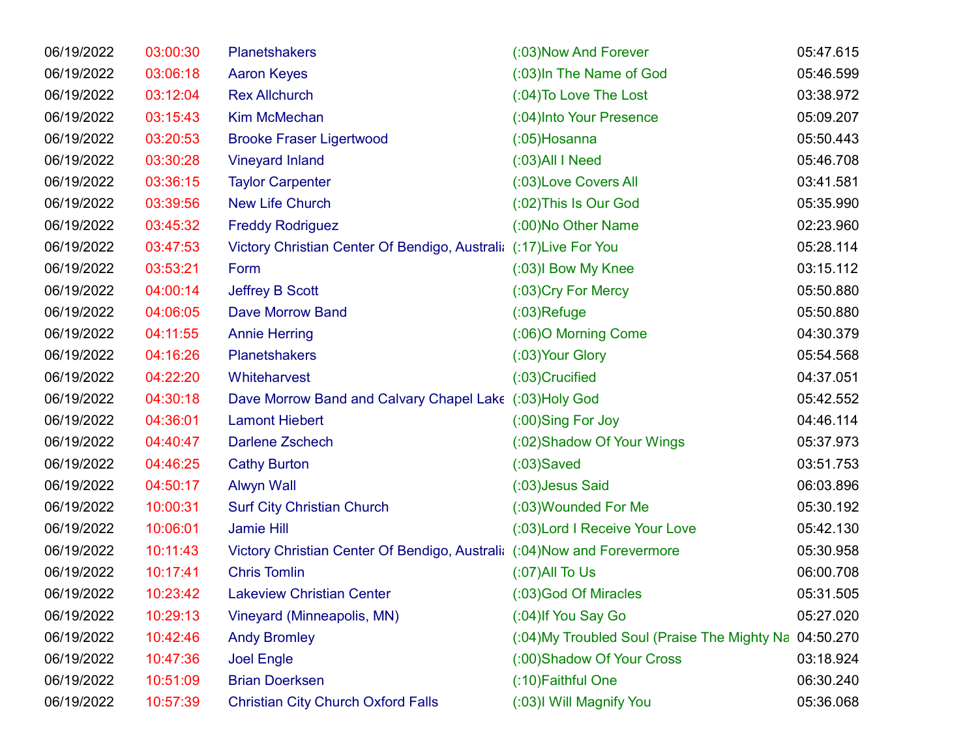| 06/19/2022 | 03:00:30 | <b>Planetshakers</b>                                                     | (:03) Now And Forever                                  | 05:47.615 |
|------------|----------|--------------------------------------------------------------------------|--------------------------------------------------------|-----------|
| 06/19/2022 | 03:06:18 | <b>Aaron Keyes</b>                                                       | (:03) In The Name of God                               | 05:46.599 |
| 06/19/2022 | 03:12:04 | <b>Rex Allchurch</b>                                                     | (:04) To Love The Lost                                 | 03:38.972 |
| 06/19/2022 | 03:15:43 | <b>Kim McMechan</b>                                                      | (:04) Into Your Presence                               | 05:09.207 |
| 06/19/2022 | 03:20:53 | <b>Brooke Fraser Ligertwood</b>                                          | $(0.05)$ Hosanna                                       | 05:50.443 |
| 06/19/2022 | 03:30:28 | <b>Vineyard Inland</b>                                                   | $(0.03)$ All I Need                                    | 05:46.708 |
| 06/19/2022 | 03:36:15 | <b>Taylor Carpenter</b>                                                  | (:03) Love Covers All                                  | 03:41.581 |
| 06/19/2022 | 03:39:56 | <b>New Life Church</b>                                                   | (:02) This Is Our God                                  | 05:35.990 |
| 06/19/2022 | 03:45:32 | <b>Freddy Rodriguez</b>                                                  | (:00) No Other Name                                    | 02:23.960 |
| 06/19/2022 | 03:47:53 | Victory Christian Center Of Bendigo, Australi: (:17) Live For You        |                                                        | 05:28.114 |
| 06/19/2022 | 03:53:21 | Form                                                                     | (:03) Bow My Knee                                      | 03:15.112 |
| 06/19/2022 | 04:00:14 | <b>Jeffrey B Scott</b>                                                   | (:03) Cry For Mercy                                    | 05:50.880 |
| 06/19/2022 | 04:06:05 | <b>Dave Morrow Band</b>                                                  | $(03)$ Refuge                                          | 05:50.880 |
| 06/19/2022 | 04:11:55 | <b>Annie Herring</b>                                                     | (:06)O Morning Come                                    | 04:30.379 |
| 06/19/2022 | 04:16:26 | <b>Planetshakers</b>                                                     | (:03) Your Glory                                       | 05:54.568 |
| 06/19/2022 | 04:22:20 | Whiteharvest                                                             | (:03)Crucified                                         | 04:37.051 |
| 06/19/2022 | 04:30:18 | Dave Morrow Band and Calvary Chapel Lake (:03)Holy God                   |                                                        | 05:42.552 |
| 06/19/2022 | 04:36:01 | <b>Lamont Hiebert</b>                                                    | (:00)Sing For Joy                                      | 04:46.114 |
| 06/19/2022 | 04:40:47 | <b>Darlene Zschech</b>                                                   | (:02) Shadow Of Your Wings                             | 05:37.973 |
| 06/19/2022 | 04:46:25 | <b>Cathy Burton</b>                                                      | $(03)$ Saved                                           | 03:51.753 |
| 06/19/2022 | 04:50:17 | <b>Alwyn Wall</b>                                                        | (:03) Jesus Said                                       | 06:03.896 |
| 06/19/2022 | 10:00:31 | <b>Surf City Christian Church</b>                                        | (:03) Wounded For Me                                   | 05:30.192 |
| 06/19/2022 | 10:06:01 | Jamie Hill                                                               | (:03) Lord I Receive Your Love                         | 05:42.130 |
| 06/19/2022 | 10:11:43 | Victory Christian Center Of Bendigo, Australia (:04) Now and Forevermore |                                                        | 05:30.958 |
| 06/19/2022 | 10:17:41 | <b>Chris Tomlin</b>                                                      | $(07)$ All To Us                                       | 06:00.708 |
| 06/19/2022 | 10:23:42 | <b>Lakeview Christian Center</b>                                         | (:03)God Of Miracles                                   | 05:31.505 |
| 06/19/2022 | 10:29:13 | Vineyard (Minneapolis, MN)                                               | (:04) If You Say Go                                    | 05:27.020 |
| 06/19/2022 | 10:42:46 | <b>Andy Bromley</b>                                                      | (:04) My Troubled Soul (Praise The Mighty Na 04:50.270 |           |
| 06/19/2022 | 10:47:36 | <b>Joel Engle</b>                                                        | (:00) Shadow Of Your Cross                             | 03:18.924 |
| 06/19/2022 | 10:51:09 | <b>Brian Doerksen</b>                                                    | (:10) Faithful One                                     | 06:30.240 |
| 06/19/2022 | 10:57:39 | <b>Christian City Church Oxford Falls</b>                                | (:03)I Will Magnify You                                | 05:36.068 |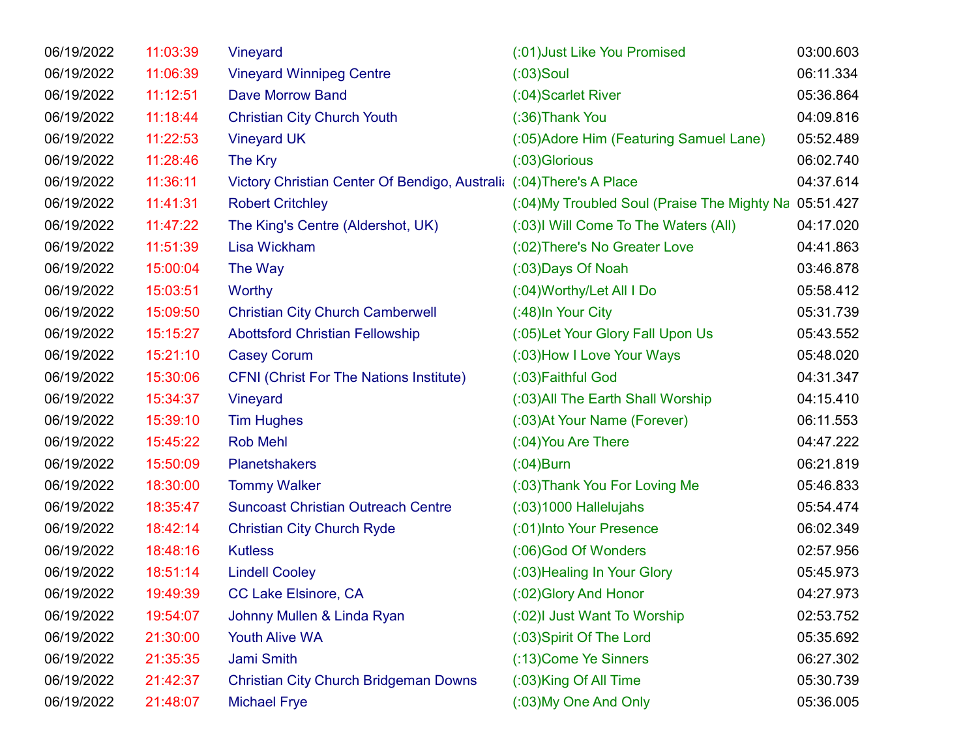| 06/19/2022 | 11:03:39 | Vineyard                                                             | (:01) Just Like You Promised                 | 03:00.603 |
|------------|----------|----------------------------------------------------------------------|----------------------------------------------|-----------|
| 06/19/2022 | 11:06:39 | <b>Vineyard Winnipeg Centre</b>                                      | $(03)$ Soul                                  | 06:11.334 |
| 06/19/2022 | 11:12:51 | <b>Dave Morrow Band</b>                                              | (:04) Scarlet River                          | 05:36.864 |
| 06/19/2022 | 11:18:44 | <b>Christian City Church Youth</b>                                   | (:36) Thank You                              | 04:09.816 |
| 06/19/2022 | 11:22:53 | <b>Vineyard UK</b>                                                   | (:05) Adore Him (Featuring Samuel Lane)      | 05:52.489 |
| 06/19/2022 | 11:28:46 | The Kry                                                              | (:03) Glorious                               | 06:02.740 |
| 06/19/2022 | 11:36:11 | Victory Christian Center Of Bendigo, Australi: (:04) There's A Place |                                              | 04:37.614 |
| 06/19/2022 | 11:41:31 | <b>Robert Critchley</b>                                              | (:04) My Troubled Soul (Praise The Mighty Na | 05:51.427 |
| 06/19/2022 | 11:47:22 | The King's Centre (Aldershot, UK)                                    | (:03) Will Come To The Waters (All)          | 04:17.020 |
| 06/19/2022 | 11:51:39 | Lisa Wickham                                                         | (:02) There's No Greater Love                | 04:41.863 |
| 06/19/2022 | 15:00:04 | The Way                                                              | (:03) Days Of Noah                           | 03:46.878 |
| 06/19/2022 | 15:03:51 | Worthy                                                               | (:04) Worthy/Let All I Do                    | 05:58.412 |
| 06/19/2022 | 15:09:50 | <b>Christian City Church Camberwell</b>                              | (:48) In Your City                           | 05:31.739 |
| 06/19/2022 | 15:15:27 | <b>Abottsford Christian Fellowship</b>                               | (:05) Let Your Glory Fall Upon Us            | 05:43.552 |
| 06/19/2022 | 15:21:10 | <b>Casey Corum</b>                                                   | (:03) How I Love Your Ways                   | 05:48.020 |
| 06/19/2022 | 15:30:06 | <b>CFNI (Christ For The Nations Institute)</b>                       | (:03) Faithful God                           | 04:31.347 |
| 06/19/2022 | 15:34:37 | Vineyard                                                             | (:03) All The Earth Shall Worship            | 04:15.410 |
| 06/19/2022 | 15:39:10 | <b>Tim Hughes</b>                                                    | (:03) At Your Name (Forever)                 | 06:11.553 |
| 06/19/2022 | 15:45:22 | <b>Rob Mehl</b>                                                      | (:04) You Are There                          | 04:47.222 |
| 06/19/2022 | 15:50:09 | <b>Planetshakers</b>                                                 | $(0.04)$ Burn                                | 06:21.819 |
| 06/19/2022 | 18:30:00 | <b>Tommy Walker</b>                                                  | (:03) Thank You For Loving Me                | 05:46.833 |
| 06/19/2022 | 18:35:47 | <b>Suncoast Christian Outreach Centre</b>                            | $(03)1000$ Hallelujahs                       | 05:54.474 |
| 06/19/2022 | 18:42:14 | <b>Christian City Church Ryde</b>                                    | (:01) Into Your Presence                     | 06:02.349 |
| 06/19/2022 | 18:48:16 | <b>Kutless</b>                                                       | (:06)God Of Wonders                          | 02:57.956 |
| 06/19/2022 | 18:51:14 | <b>Lindell Cooley</b>                                                | (:03) Healing In Your Glory                  | 05:45.973 |
| 06/19/2022 | 19:49:39 | <b>CC Lake Elsinore, CA</b>                                          | (:02) Glory And Honor                        | 04:27.973 |
| 06/19/2022 | 19:54:07 | Johnny Mullen & Linda Ryan                                           | (:02) Just Want To Worship                   | 02:53.752 |
| 06/19/2022 | 21:30:00 | Youth Alive WA                                                       | (:03) Spirit Of The Lord                     | 05:35.692 |
| 06/19/2022 | 21:35:35 | Jami Smith                                                           | (:13) Come Ye Sinners                        | 06:27.302 |
| 06/19/2022 | 21:42:37 | <b>Christian City Church Bridgeman Downs</b>                         | (:03)King Of All Time                        | 05:30.739 |
| 06/19/2022 | 21:48:07 | <b>Michael Frye</b>                                                  | (:03) My One And Only                        | 05:36.005 |